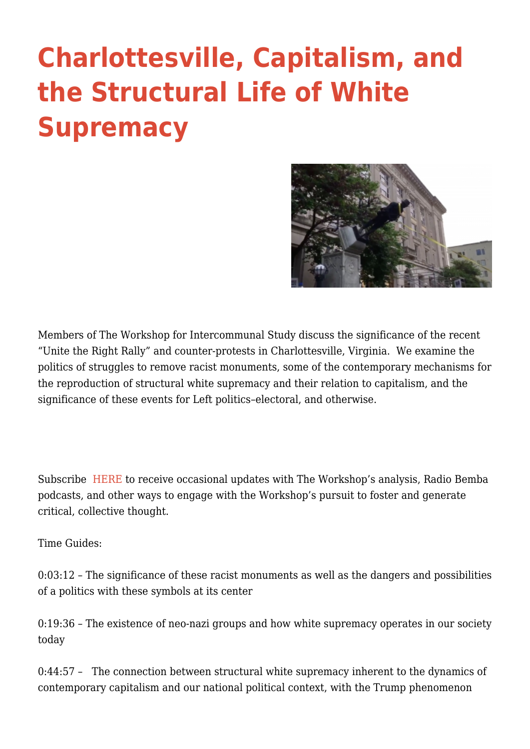## **[Charlottesville, Capitalism, and](https://intercommunalworkshop.org/charlottesville-capitalism-and-the-structural-life-of-white-supremacy/) [the Structural Life of White](https://intercommunalworkshop.org/charlottesville-capitalism-and-the-structural-life-of-white-supremacy/) [Supremacy](https://intercommunalworkshop.org/charlottesville-capitalism-and-the-structural-life-of-white-supremacy/)**



Members of The Workshop for Intercommunal Study discuss the significance of the recent "Unite the Right Rally" and counter-protests in Charlottesville, Virginia. We examine the politics of struggles to remove racist monuments, some of the contemporary mechanisms for the reproduction of structural white supremacy and their relation to capitalism, and the significance of these events for Left politics–electoral, and otherwise.

Subscribe [HERE](http://intercommunalworkshop.us14.list-manage.com/subscribe?u=e5bc6b98f64c84b23633df433&id=6fc309ca01) to receive occasional updates with The Workshop's analysis, Radio Bemba podcasts, and other ways to engage with the Workshop's pursuit to foster and generate critical, collective thought.

Time Guides:

0:03:12 – The significance of these racist monuments as well as the dangers and possibilities of a politics with these symbols at its center

0:19:36 – The existence of neo-nazi groups and how white supremacy operates in our society today

0:44:57 - The connection between structural white supremacy inherent to the dynamics of contemporary capitalism and our national political context, with the Trump phenomenon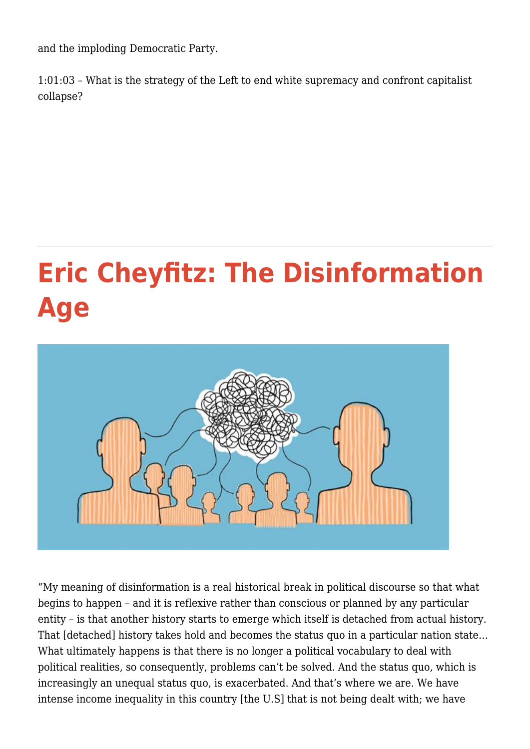and the imploding Democratic Party.

1:01:03 – What is the strategy of the Left to end white supremacy and confront capitalist collapse?

## **[Eric Cheyfitz: The Disinformation](https://intercommunalworkshop.org/eric-cheyfitz-the-disinformation-age/) [Age](https://intercommunalworkshop.org/eric-cheyfitz-the-disinformation-age/)**



"My meaning of disinformation is a real historical break in political discourse so that what begins to happen – and it is reflexive rather than conscious or planned by any particular entity – is that another history starts to emerge which itself is detached from actual history. That [detached] history takes hold and becomes the status quo in a particular nation state… What ultimately happens is that there is no longer a political vocabulary to deal with political realities, so consequently, problems can't be solved. And the status quo, which is increasingly an unequal status quo, is exacerbated. And that's where we are. We have intense income inequality in this country [the U.S] that is not being dealt with; we have